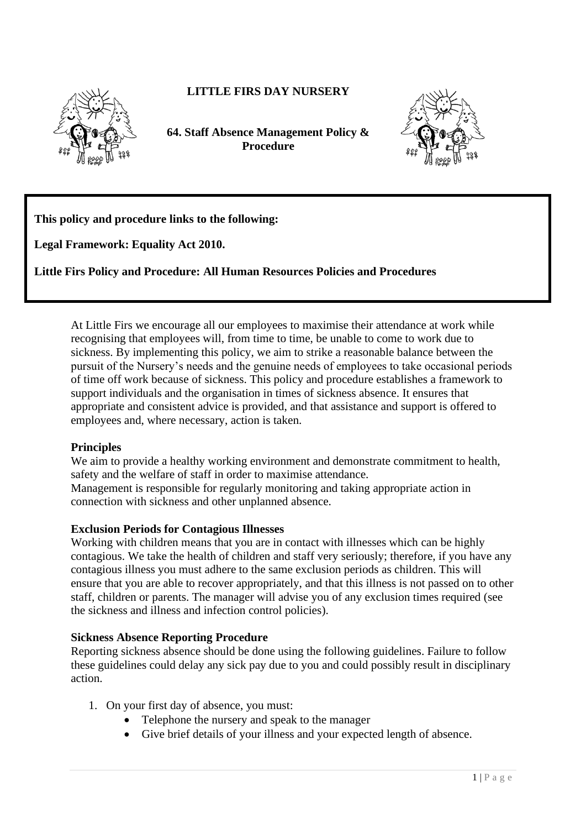

# **LITTLE FIRS DAY NURSERY**

**64. Staff Absence Management Policy & Procedure** 



**This policy and procedure links to the following:** 

**Legal Framework: Equality Act 2010.**

**Little Firs Policy and Procedure: All Human Resources Policies and Procedures**

At Little Firs we encourage all our employees to maximise their attendance at work while recognising that employees will, from time to time, be unable to come to work due to sickness. By implementing this policy, we aim to strike a reasonable balance between the pursuit of the Nursery's needs and the genuine needs of employees to take occasional periods of time off work because of sickness. This policy and procedure establishes a framework to support individuals and the organisation in times of sickness absence. It ensures that appropriate and consistent advice is provided, and that assistance and support is offered to employees and, where necessary, action is taken.

### **Principles**

We aim to provide a healthy working environment and demonstrate commitment to health, safety and the welfare of staff in order to maximise attendance. Management is responsible for regularly monitoring and taking appropriate action in

connection with sickness and other unplanned absence.

### **Exclusion Periods for Contagious Illnesses**

Working with children means that you are in contact with illnesses which can be highly contagious. We take the health of children and staff very seriously; therefore, if you have any contagious illness you must adhere to the same exclusion periods as children. This will ensure that you are able to recover appropriately, and that this illness is not passed on to other staff, children or parents. The manager will advise you of any exclusion times required (see the sickness and illness and infection control policies).

### **Sickness Absence Reporting Procedure**

Reporting sickness absence should be done using the following guidelines. Failure to follow these guidelines could delay any sick pay due to you and could possibly result in disciplinary action.

- 1. On your first day of absence, you must:
	- Telephone the nursery and speak to the manager
	- Give brief details of your illness and your expected length of absence.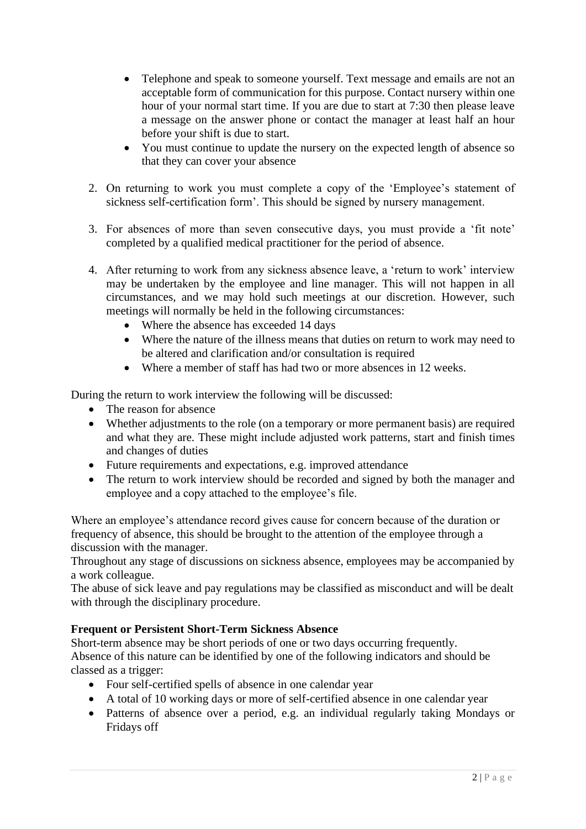- Telephone and speak to someone yourself. Text message and emails are not an acceptable form of communication for this purpose. Contact nursery within one hour of your normal start time. If you are due to start at 7:30 then please leave a message on the answer phone or contact the manager at least half an hour before your shift is due to start.
- You must continue to update the nursery on the expected length of absence so that they can cover your absence
- 2. On returning to work you must complete a copy of the 'Employee's statement of sickness self-certification form'. This should be signed by nursery management.
- 3. For absences of more than seven consecutive days, you must provide a 'fit note' completed by a qualified medical practitioner for the period of absence.
- 4. After returning to work from any sickness absence leave, a 'return to work' interview may be undertaken by the employee and line manager. This will not happen in all circumstances, and we may hold such meetings at our discretion. However, such meetings will normally be held in the following circumstances:
	- Where the absence has exceeded 14 days
	- Where the nature of the illness means that duties on return to work may need to be altered and clarification and/or consultation is required
	- Where a member of staff has had two or more absences in 12 weeks.

During the return to work interview the following will be discussed:

- The reason for absence
- Whether adjustments to the role (on a temporary or more permanent basis) are required and what they are. These might include adjusted work patterns, start and finish times and changes of duties
- Future requirements and expectations, e.g. improved attendance
- The return to work interview should be recorded and signed by both the manager and employee and a copy attached to the employee's file.

Where an employee's attendance record gives cause for concern because of the duration or frequency of absence, this should be brought to the attention of the employee through a discussion with the manager.

Throughout any stage of discussions on sickness absence, employees may be accompanied by a work colleague.

The abuse of sick leave and pay regulations may be classified as misconduct and will be dealt with through the disciplinary procedure.

## **Frequent or Persistent Short-Term Sickness Absence**

Short-term absence may be short periods of one or two days occurring frequently. Absence of this nature can be identified by one of the following indicators and should be classed as a trigger:

- Four self-certified spells of absence in one calendar year
- A total of 10 working days or more of self-certified absence in one calendar year
- Patterns of absence over a period, e.g. an individual regularly taking Mondays or Fridays off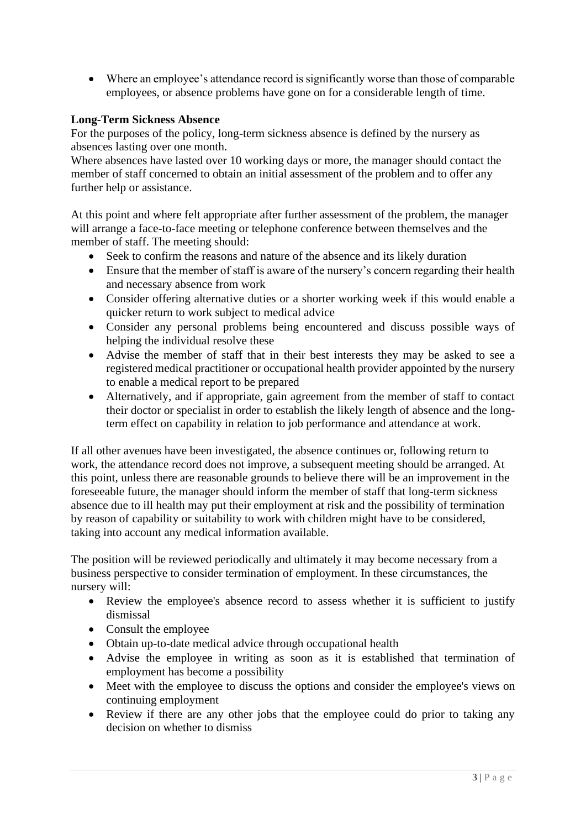• Where an employee's attendance record is significantly worse than those of comparable employees, or absence problems have gone on for a considerable length of time.

## **Long-Term Sickness Absence**

For the purposes of the policy, long-term sickness absence is defined by the nursery as absences lasting over one month.

Where absences have lasted over 10 working days or more, the manager should contact the member of staff concerned to obtain an initial assessment of the problem and to offer any further help or assistance.

At this point and where felt appropriate after further assessment of the problem, the manager will arrange a face-to-face meeting or telephone conference between themselves and the member of staff. The meeting should:

- Seek to confirm the reasons and nature of the absence and its likely duration
- Ensure that the member of staff is aware of the nursery's concern regarding their health and necessary absence from work
- Consider offering alternative duties or a shorter working week if this would enable a quicker return to work subject to medical advice
- Consider any personal problems being encountered and discuss possible ways of helping the individual resolve these
- Advise the member of staff that in their best interests they may be asked to see a registered medical practitioner or occupational health provider appointed by the nursery to enable a medical report to be prepared
- Alternatively, and if appropriate, gain agreement from the member of staff to contact their doctor or specialist in order to establish the likely length of absence and the longterm effect on capability in relation to job performance and attendance at work.

If all other avenues have been investigated, the absence continues or, following return to work, the attendance record does not improve, a subsequent meeting should be arranged. At this point, unless there are reasonable grounds to believe there will be an improvement in the foreseeable future, the manager should inform the member of staff that long-term sickness absence due to ill health may put their employment at risk and the possibility of termination by reason of capability or suitability to work with children might have to be considered, taking into account any medical information available.

The position will be reviewed periodically and ultimately it may become necessary from a business perspective to consider termination of employment. In these circumstances, the nursery will:

- Review the employee's absence record to assess whether it is sufficient to justify dismissal
- Consult the employee
- Obtain up-to-date medical advice through occupational health
- Advise the employee in writing as soon as it is established that termination of employment has become a possibility
- Meet with the employee to discuss the options and consider the employee's views on continuing employment
- Review if there are any other jobs that the employee could do prior to taking any decision on whether to dismiss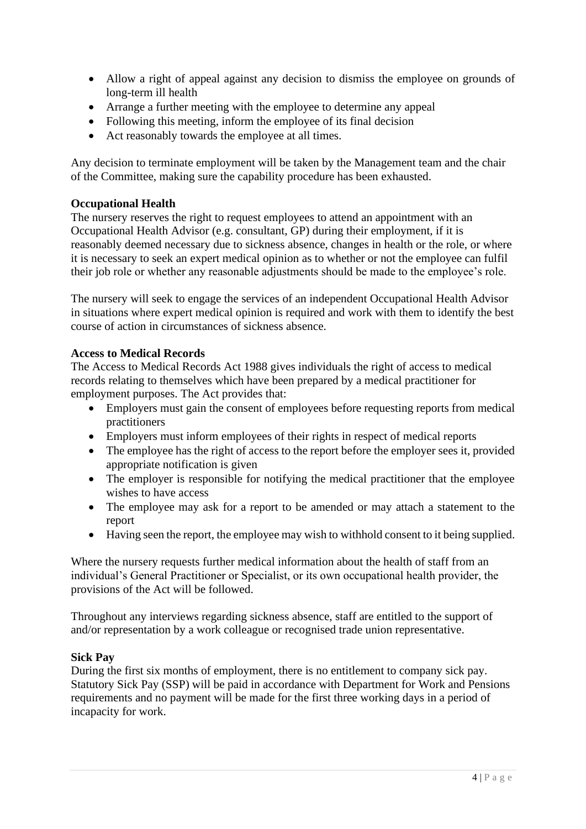- Allow a right of appeal against any decision to dismiss the employee on grounds of long-term ill health
- Arrange a further meeting with the employee to determine any appeal
- Following this meeting, inform the employee of its final decision
- Act reasonably towards the employee at all times.

Any decision to terminate employment will be taken by the Management team and the chair of the Committee, making sure the capability procedure has been exhausted.

### **Occupational Health**

The nursery reserves the right to request employees to attend an appointment with an Occupational Health Advisor (e.g. consultant, GP) during their employment, if it is reasonably deemed necessary due to sickness absence, changes in health or the role, or where it is necessary to seek an expert medical opinion as to whether or not the employee can fulfil their job role or whether any reasonable adjustments should be made to the employee's role.

The nursery will seek to engage the services of an independent Occupational Health Advisor in situations where expert medical opinion is required and work with them to identify the best course of action in circumstances of sickness absence.

## **Access to Medical Records**

The Access to Medical Records Act 1988 gives individuals the right of access to medical records relating to themselves which have been prepared by a medical practitioner for employment purposes. The Act provides that:

- Employers must gain the consent of employees before requesting reports from medical practitioners
- Employers must inform employees of their rights in respect of medical reports
- The employee has the right of access to the report before the employer sees it, provided appropriate notification is given
- The employer is responsible for notifying the medical practitioner that the employee wishes to have access
- The employee may ask for a report to be amended or may attach a statement to the report
- Having seen the report, the employee may wish to withhold consent to it being supplied.

Where the nursery requests further medical information about the health of staff from an individual's General Practitioner or Specialist, or its own occupational health provider, the provisions of the Act will be followed.

Throughout any interviews regarding sickness absence, staff are entitled to the support of and/or representation by a work colleague or recognised trade union representative.

### **Sick Pay**

During the first six months of employment, there is no entitlement to company sick pay. Statutory Sick Pay (SSP) will be paid in accordance with Department for Work and Pensions requirements and no payment will be made for the first three working days in a period of incapacity for work.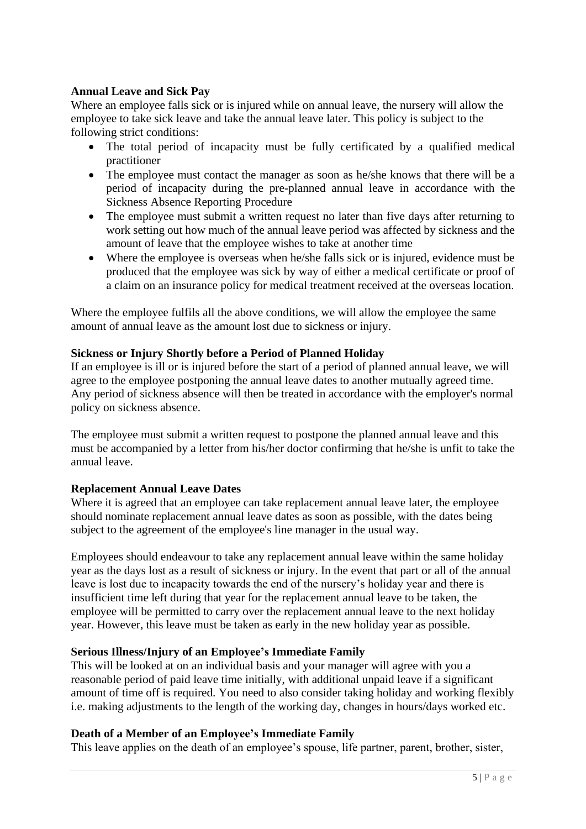## **Annual Leave and Sick Pay**

Where an employee falls sick or is injured while on annual leave, the nursery will allow the employee to take sick leave and take the annual leave later. This policy is subject to the following strict conditions:

- The total period of incapacity must be fully certificated by a qualified medical practitioner
- The employee must contact the manager as soon as he/she knows that there will be a period of incapacity during the pre-planned annual leave in accordance with the Sickness Absence Reporting Procedure
- The employee must submit a written request no later than five days after returning to work setting out how much of the annual leave period was affected by sickness and the amount of leave that the employee wishes to take at another time
- Where the employee is overseas when he/she falls sick or is injured, evidence must be produced that the employee was sick by way of either a medical certificate or proof of a claim on an insurance policy for medical treatment received at the overseas location.

Where the employee fulfils all the above conditions, we will allow the employee the same amount of annual leave as the amount lost due to sickness or injury.

## **Sickness or Injury Shortly before a Period of Planned Holiday**

If an employee is ill or is injured before the start of a period of planned annual leave, we will agree to the employee postponing the annual leave dates to another mutually agreed time. Any period of sickness absence will then be treated in accordance with the employer's normal policy on sickness absence.

The employee must submit a written request to postpone the planned annual leave and this must be accompanied by a letter from his/her doctor confirming that he/she is unfit to take the annual leave.

## **Replacement Annual Leave Dates**

Where it is agreed that an employee can take replacement annual leave later, the employee should nominate replacement annual leave dates as soon as possible, with the dates being subject to the agreement of the employee's line manager in the usual way.

Employees should endeavour to take any replacement annual leave within the same holiday year as the days lost as a result of sickness or injury. In the event that part or all of the annual leave is lost due to incapacity towards the end of the nursery's holiday year and there is insufficient time left during that year for the replacement annual leave to be taken, the employee will be permitted to carry over the replacement annual leave to the next holiday year. However, this leave must be taken as early in the new holiday year as possible.

## **Serious Illness/Injury of an Employee's Immediate Family**

This will be looked at on an individual basis and your manager will agree with you a reasonable period of paid leave time initially, with additional unpaid leave if a significant amount of time off is required. You need to also consider taking holiday and working flexibly i.e. making adjustments to the length of the working day, changes in hours/days worked etc.

### **Death of a Member of an Employee's Immediate Family**

This leave applies on the death of an employee's spouse, life partner, parent, brother, sister,